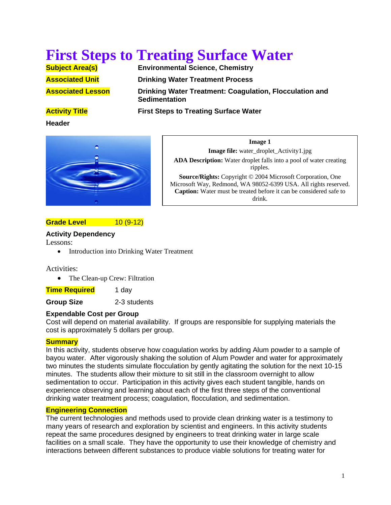# **First Steps to Treating Surface Water**<br> **Subject Area(s)**<br> **Environmental Science, Chemistry**

**Environmental Science, Chemistry** 

**Associated Unit Communist Drinking Water Treatment Process** 

**Associated Lesson Community Drinking Water Treatment: Coagulation, Flocculation and Sedimentation**

# **Activity Title First Steps to Treating Surface Water**

**Header**



**Image 1 Image file:** water\_droplet\_Activity1.jpg **ADA Description:** Water droplet falls into a pool of water creating ripples. **Source/Rights:** Copyright © 2004 Microsoft Corporation, One Microsoft Way, Redmond, WA 98052-6399 USA. All rights reserved. **Caption:** Water must be treated before it can be considered safe to drink.

# **Grade Level**  10 (9-12)

# **Activity Dependency**

Lessons:

• Introduction into Drinking Water Treatment

Activities:

• The Clean-up Crew: Filtration

**Time Required** 1 day

**Group Size** 2-3 students

# **Expendable Cost per Group**

Cost will depend on material availability. If groups are responsible for supplying materials the cost is approximately 5 dollars per group.

# **Summary**

In this activity, students observe how coagulation works by adding Alum powder to a sample of bayou water. After vigorously shaking the solution of Alum Powder and water for approximately two minutes the students simulate flocculation by gently agitating the solution for the next 10-15 minutes. The students allow their mixture to sit still in the classroom overnight to allow sedimentation to occur. Participation in this activity gives each student tangible, hands on experience observing and learning about each of the first three steps of the conventional drinking water treatment process; coagulation, flocculation, and sedimentation.

# **Engineering Connection**

The current technologies and methods used to provide clean drinking water is a testimony to many years of research and exploration by scientist and engineers. In this activity students repeat the same procedures designed by engineers to treat drinking water in large scale facilities on a small scale. They have the opportunity to use their knowledge of chemistry and interactions between different substances to produce viable solutions for treating water for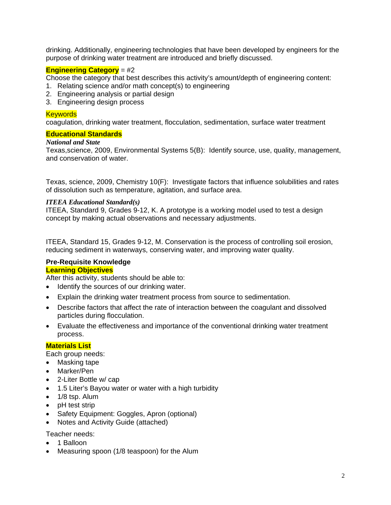drinking. Additionally, engineering technologies that have been developed by engineers for the purpose of drinking water treatment are introduced and briefly discussed.

# **Engineering Category** = #2

Choose the category that best describes this activity's amount/depth of engineering content:

- 1. Relating science and/or math concept(s) to engineering
- 2. Engineering analysis or partial design
- 3. Engineering design process

#### **Keywords**

coagulation, drinking water treatment, flocculation, sedimentation, surface water treatment

#### **Educational Standards**

# *National and State*

Texas,science, 2009, Environmental Systems 5(B): Identify source, use, quality, management, and conservation of water.

Texas, science, 2009, Chemistry 10(F): Investigate factors that influence solubilities and rates of dissolution such as temperature, agitation, and surface area.

#### *ITEEA Educational Standard(s)*

ITEEA, Standard 9, Grades 9-12, K. A prototype is a working model used to test a design concept by making actual observations and necessary adjustments.

ITEEA, Standard 15, Grades 9-12, M. Conservation is the process of controlling soil erosion, reducing sediment in waterways, conserving water, and improving water quality.

#### **Pre-Requisite Knowledge Learning Objectives**

After this activity, students should be able to:

- Identify the sources of our drinking water.
- Explain the drinking water treatment process from source to sedimentation.
- Describe factors that affect the rate of interaction between the coagulant and dissolved particles during flocculation.
- Evaluate the effectiveness and importance of the conventional drinking water treatment process.

#### **Materials List**

Each group needs:

- Masking tape
- Marker/Pen
- 2-Liter Bottle w/ cap
- 1.5 Liter's Bayou water or water with a high turbidity
- 1/8 tsp. Alum
- pH test strip
- Safety Equipment: Goggles, Apron (optional)
- Notes and Activity Guide (attached)

Teacher needs:

- 1 Balloon
- Measuring spoon (1/8 teaspoon) for the Alum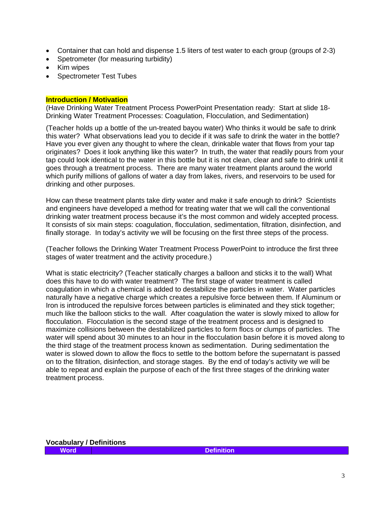- Container that can hold and dispense 1.5 liters of test water to each group (groups of 2-3)
- Spetrometer (for measuring turbidity)
- Kim wipes
- Spectrometer Test Tubes

#### **Introduction / Motivation**

(Have Drinking Water Treatment Process PowerPoint Presentation ready: Start at slide 18- Drinking Water Treatment Processes: Coagulation, Flocculation, and Sedimentation)

(Teacher holds up a bottle of the un-treated bayou water) Who thinks it would be safe to drink this water? What observations lead you to decide if it was safe to drink the water in the bottle? Have you ever given any thought to where the clean, drinkable water that flows from your tap originates? Does it look anything like this water? In truth, the water that readily pours from your tap could look identical to the water in this bottle but it is not clean, clear and safe to drink until it goes through a treatment process. There are many water treatment plants around the world which purify millions of gallons of water a day from lakes, rivers, and reservoirs to be used for drinking and other purposes.

How can these treatment plants take dirty water and make it safe enough to drink? Scientists and engineers have developed a method for treating water that we will call the conventional drinking water treatment process because it's the most common and widely accepted process. It consists of six main steps: coagulation, flocculation, sedimentation, filtration, disinfection, and finally storage. In today's activity we will be focusing on the first three steps of the process.

(Teacher follows the Drinking Water Treatment Process PowerPoint to introduce the first three stages of water treatment and the activity procedure.)

What is static electricity? (Teacher statically charges a balloon and sticks it to the wall) What does this have to do with water treatment? The first stage of water treatment is called coagulation in which a chemical is added to destabilize the particles in water. Water particles naturally have a negative charge which creates a repulsive force between them. If Aluminum or Iron is introduced the repulsive forces between particles is eliminated and they stick together; much like the balloon sticks to the wall. After coagulation the water is slowly mixed to allow for flocculation. Flocculation is the second stage of the treatment process and is designed to maximize collisions between the destabilized particles to form flocs or clumps of particles. The water will spend about 30 minutes to an hour in the flocculation basin before it is moved along to the third stage of the treatment process known as sedimentation. During sedimentation the water is slowed down to allow the flocs to settle to the bottom before the supernatant is passed on to the filtration, disinfection, and storage stages. By the end of today's activity we will be able to repeat and explain the purpose of each of the first three stages of the drinking water treatment process.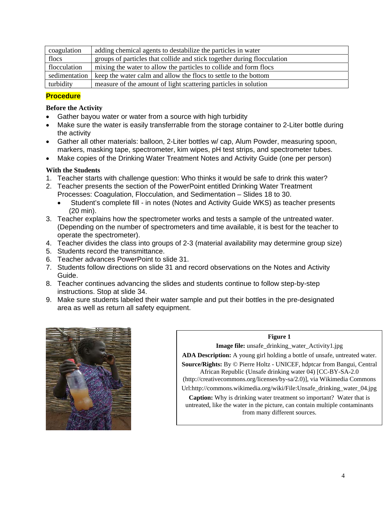| coagulation   | adding chemical agents to destabilize the particles in water            |
|---------------|-------------------------------------------------------------------------|
| flocs         | groups of particles that collide and stick together during flocculation |
| flocculation  | mixing the water to allow the particles to collide and form flocs       |
| sedimentation | keep the water calm and allow the flocs to settle to the bottom         |
| turbidity     | measure of the amount of light scattering particles in solution         |

# **Procedure**

# **Before the Activity**

- Gather bayou water or water from a source with high turbidity
- Make sure the water is easily transferrable from the storage container to 2-Liter bottle during the activity
- Gather all other materials: balloon, 2-Liter bottles w/ cap, Alum Powder, measuring spoon, markers, masking tape, spectrometer, kim wipes, pH test strips, and spectrometer tubes.
- Make copies of the Drinking Water Treatment Notes and Activity Guide (one per person)

# **With the Students**

- 1. Teacher starts with challenge question: Who thinks it would be safe to drink this water?
- 2. Teacher presents the section of the PowerPoint entitled Drinking Water Treatment Processes: Coagulation, Flocculation, and Sedimentation – Slides 18 to 30.
	- Student's complete fill in notes (Notes and Activity Guide WKS) as teacher presents (20 min).
- 3. Teacher explains how the spectrometer works and tests a sample of the untreated water. (Depending on the number of spectrometers and time available, it is best for the teacher to operate the spectrometer).
- 4. Teacher divides the class into groups of 2-3 (material availability may determine group size)
- 5. Students record the transmittance.
- 6. Teacher advances PowerPoint to slide 31.
- 7. Students follow directions on slide 31 and record observations on the Notes and Activity Guide.
- 8. Teacher continues advancing the slides and students continue to follow step-by-step instructions. Stop at slide 34.
- 9. Make sure students labeled their water sample and put their bottles in the pre-designated area as well as return all safety equipment.



#### **Figure 1**

**Image file:** unsafe\_drinking\_water\_Activity1.jpg

**ADA Description:** A young girl holding a bottle of unsafe, untreated water.

**Source/Rights:** By © Pierre Holtz - UNICEF, hdptcar from Bangui, Central African Republic (Unsafe drinking water 04) [CC-BY-SA-2.0

(http://creativecommons.org/licenses/by-sa/2.0)], via Wikimedia Commons

Url:http://commons.wikimedia.org/wiki/File:Unsafe\_drinking\_water\_04.jpg

**Caption:** Why is drinking water treatment so important? Water that is untreated, like the water in the picture, can contain multiple contaminants from many different sources.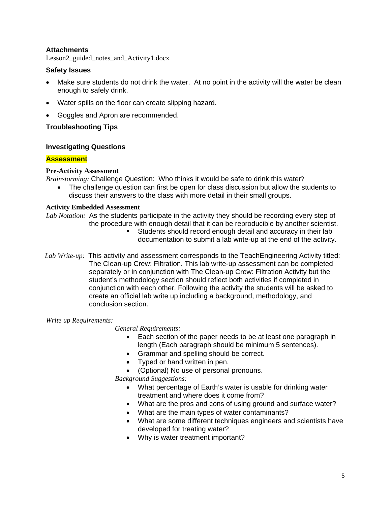# **Attachments**

Lesson2 guided notes and Activity1.docx

# **Safety Issues**

- Make sure students do not drink the water. At no point in the activity will the water be clean enough to safely drink.
- Water spills on the floor can create slipping hazard.
- Goggles and Apron are recommended.

#### **Troubleshooting Tips**

#### **Investigating Questions**

#### **Assessment**

#### **Pre-Activity Assessment**

*Brainstorming:* Challenge Question: Who thinks it would be safe to drink this water?

 The challenge question can first be open for class discussion but allow the students to discuss their answers to the class with more detail in their small groups.

#### **Activity Embedded Assessment**

*Lab Notation:* As the students participate in the activity they should be recording every step of the procedure with enough detail that it can be reproducible by another scientist.

- Students should record enough detail and accuracy in their lab documentation to submit a lab write-up at the end of the activity.
- *Lab Write-up:* This activity and assessment corresponds to the TeachEngineering Activity titled: The Clean-up Crew: Filtration. This lab write-up assessment can be completed separately or in conjunction with The Clean-up Crew: Filtration Activity but the student's methodology section should reflect both activities if completed in conjunction with each other. Following the activity the students will be asked to create an official lab write up including a background, methodology, and conclusion section.

*Write up Requirements:* 

 *General Requirements:*

- Each section of the paper needs to be at least one paragraph in length (Each paragraph should be minimum 5 sentences).
- Grammar and spelling should be correct.
- Typed or hand written in pen.
- (Optional) No use of personal pronouns.

*Background Suggestions:* 

- What percentage of Earth's water is usable for drinking water treatment and where does it come from?
- What are the pros and cons of using ground and surface water?
- What are the main types of water contaminants?
- What are some different techniques engineers and scientists have developed for treating water?
- Why is water treatment important?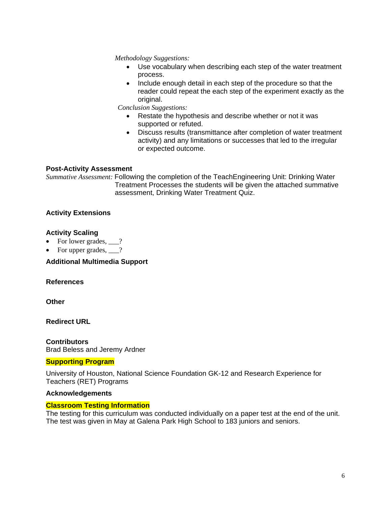*Methodology Suggestions:* 

- Use vocabulary when describing each step of the water treatment process.
- Include enough detail in each step of the procedure so that the reader could repeat the each step of the experiment exactly as the original.

*Conclusion Suggestions:* 

- Restate the hypothesis and describe whether or not it was supported or refuted.
- Discuss results (transmittance after completion of water treatment activity) and any limitations or successes that led to the irregular or expected outcome.

# **Post-Activity Assessment**

*Summative Assessment:* Following the completion of the TeachEngineering Unit: Drinking Water Treatment Processes the students will be given the attached summative assessment, Drinking Water Treatment Quiz.

# **Activity Extensions**

# **Activity Scaling**

- For lower grades,  $\qquad$ ?
- For upper grades, 1.

# **Additional Multimedia Support**

# **References**

**Other**

**Redirect URL** 

**Contributors** Brad Beless and Jeremy Ardner

# **Supporting Program**

University of Houston, National Science Foundation GK-12 and Research Experience for Teachers (RET) Programs

# **Acknowledgements**

# **Classroom Testing Information**

The testing for this curriculum was conducted individually on a paper test at the end of the unit. The test was given in May at Galena Park High School to 183 juniors and seniors.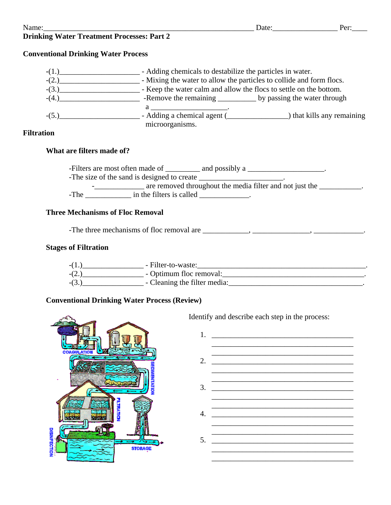# **Drinking Water Treatment Processes: Part 2**

# **Conventional Drinking Water Process**

| $-(1)$  | - Adding chemicals to destabilize the particles in water.            |                          |  |
|---------|----------------------------------------------------------------------|--------------------------|--|
| $-(2.)$ | - Mixing the water to allow the particles to collide and form flocs. |                          |  |
| $-(3.)$ | - Keep the water calm and allow the flocs to settle on the bottom.   |                          |  |
| $-(4.)$ |                                                                      |                          |  |
|         |                                                                      |                          |  |
| $-(5.)$ | - Adding a chemical agent (                                          | that kills any remaining |  |
|         | microorganisms.                                                      |                          |  |

# **Filtration**

# **What are filters made of?**

-Filters are most often made of \_\_\_\_\_\_\_\_ and possibly a \_\_\_\_\_\_\_\_\_\_\_\_\_\_\_\_\_\_. -The size of the sand is designed to create \_\_\_\_\_\_\_\_\_\_\_\_\_\_\_\_\_\_\_\_\_\_. are removed throughout the media filter and not just the \_\_\_\_\_\_\_\_\_\_. -The in the filters is called  $\blacksquare$ 

# **Three Mechanisms of Floc Removal**

-The three mechanisms of floc removal are \_\_\_\_\_\_\_\_\_\_\_\_, \_\_\_\_\_\_\_\_\_\_\_\_\_\_\_, \_\_\_\_\_\_\_\_\_\_\_\_\_.

# **Stages of Filtration**



# **Conventional Drinking Water Process (Review)**



Identify and describe each step in the process: